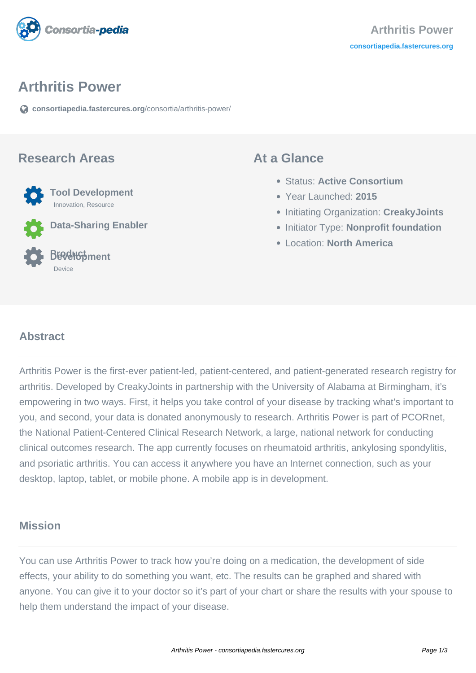

#### **Arthritis Power**

**[consortiapedia.fastercures.org](https://consortiapedia.fastercures.org/consortia/arthritis-power/)**[/consortia/arthritis-power/](https://consortiapedia.fastercures.org/consortia/arthritis-power/)

#### **Research Areas**



**Data-Sharing Enabler**

#### **Product Development** Device

#### **At a Glance**

- Status: **Active Consortium**
- Year Launched: **2015**
- Initiating Organization: **CreakyJoints**
- **Initiator Type: Nonprofit foundation**
- Location: **North America**

#### $\overline{a}$ **Abstract**

Arthritis Power is the first-ever patient-led, patient-centered, and patient-generated research registry for arthritis. Developed by CreakyJoints in partnership with the University of Alabama at Birmingham, it's empowering in two ways. First, it helps you take control of your disease by tracking what's important to you, and second, your data is donated anonymously to research. Arthritis Power is part of PCORnet, the National Patient-Centered Clinical Research Network, a large, national network for conducting clinical outcomes research. The app currently focuses on rheumatoid arthritis, ankylosing spondylitis, and psoriatic arthritis. You can access it anywhere you have an Internet connection, such as your desktop, laptop, tablet, or mobile phone. A mobile app is in development.

### **Mission**

You can use Arthritis Power to track how you're doing on a medication, the development of side effects, your ability to do something you want, etc. The results can be graphed and shared with anyone. You can give it to your doctor so it's part of your chart or share the results with your spouse to help them understand the impact of your disease.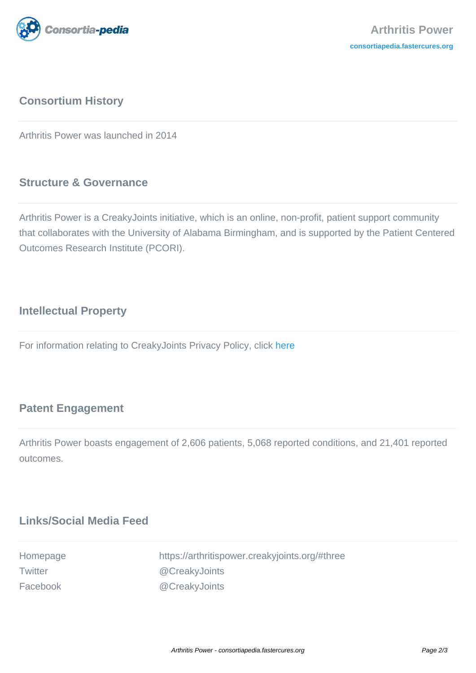

## **Consortium History**

Arthritis Power was launched in 2014

### **Structure & Governance**

Arthritis Power is a CreakyJoints initiative, which is an online, non-profit, patient support community that collaborates with the University of Alabama Birmingham, and is supported by the Patient Centered Outcomes Research Institute (PCORI).

### **Intellectual Property**

For information relating to CreakyJoints Privacy Policy, click [here](https://creakyjoints.org/privacy/)

#### **Patent Engagement**

Arthritis Power boasts engagement of 2,606 patients, 5,068 reported conditions, and 21,401 reported outcomes.

### **Links/Social Media Feed**

| Homepage | https://arthritispower.creakyjoints.org/#three |
|----------|------------------------------------------------|
| Twitter  | @CreakyJoints                                  |
| Facebook | @CreakyJoints                                  |